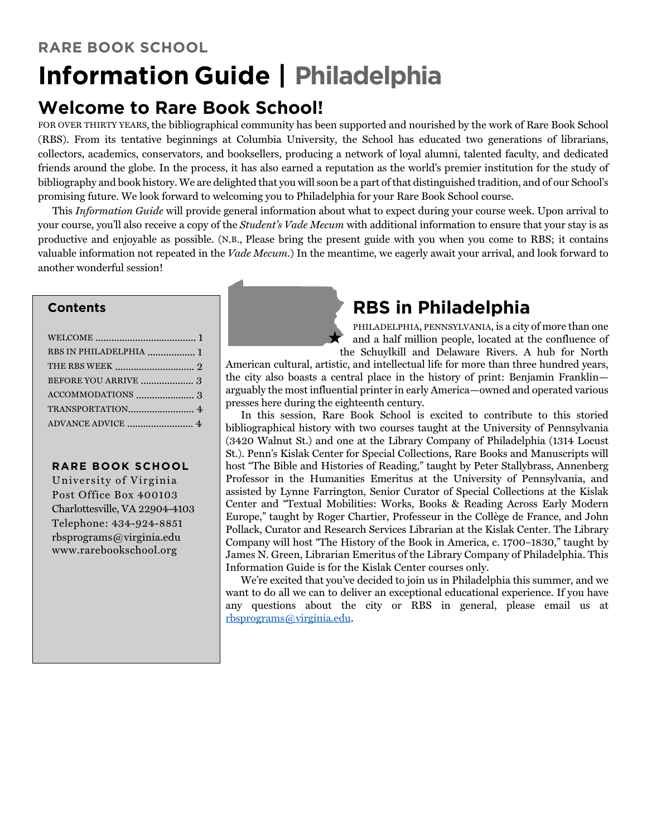## **Welcome to Rare Book School!**

FOR OVER THIRTY YEARS, the bibliographical community has been supported and nourished by the work of Rare Book School (RBS). From its tentative beginnings at Columbia University, the School has educated two generations of librarians, collectors, academics, conservators, and booksellers, producing a network of loyal alumni, talented faculty, and dedicated friends around the globe. In the process, it has also earned a reputation as the world's premier institution for the study of bibliography and book history. We are delighted that you will soon be a part of that distinguished tradition, and of our School's promising future. We look forward to welcoming you to Philadelphia for your Rare Book School course.

This *Information Guide* will provide general information about what to expect during your course week. Upon arrival to your course, you'll also receive a copy of the *Student's Vade Mecum* with additional information to ensure that your stay is as productive and enjoyable as possible. (N.B., Please bring the present guide with you when you come to RBS; it contains valuable information not repeated in the *Vade Mecum*.) In the meantime, we eagerly await your arrival, and look forward to another wonderful session!

## **Contents**

| RBS IN PHILADELPHIA  1 |  |
|------------------------|--|
|                        |  |
|                        |  |
|                        |  |
|                        |  |
|                        |  |
|                        |  |

### **RARE BOOK SCHOOL**

University of Virginia Post Office Box 400103 Charlottesville, VA 22904-4103 Telephone: 434-924-8851 rbsprograms@virginia.edu www.rarebookschool.org

# **RBS in Philadelphia**

PHILADELPHIA, PENNSYLVANIA, is a city of more than one and a half million people, located at the confluence of the Schuylkill and Delaware Rivers. A hub for North

American cultural, artistic, and intellectual life for more than three hundred years, the city also boasts a central place in the history of print: Benjamin Franklin arguably the most influential printer in early America—owned and operated various presses here during the eighteenth century.

In this session, Rare Book School is excited to contribute to this storied bibliographical history with two courses taught at the University of Pennsylvania (3420 Walnut St.) and one at the Library Company of Philadelphia (1314 Locust St.). Penn's Kislak Center for Special Collections, Rare Books and Manuscripts will host "The Bible and Histories of Reading," taught by Peter Stallybrass, Annenberg Professor in the Humanities Emeritus at the University of Pennsylvania, and assisted by Lynne Farrington, Senior Curator of Special Collections at the Kislak Center and "Textual Mobilities: Works, Books & Reading Across Early Modern Europe," taught by Roger Chartier, Professeur in the Collège de France, and John Pollack, Curator and Research Services Librarian at the Kislak Center. The Library Company will host "The History of the Book in America, c. 1700–1830," taught by James N. Green, Librarian Emeritus of the Library Company of Philadelphia. This Information Guide is for the Kislak Center courses only.

We're excited that you've decided to join us in Philadelphia this summer, and we want to do all we can to deliver an exceptional educational experience. If you have any questions about the city or RBS in general, please email us at rbsprograms@virginia.edu.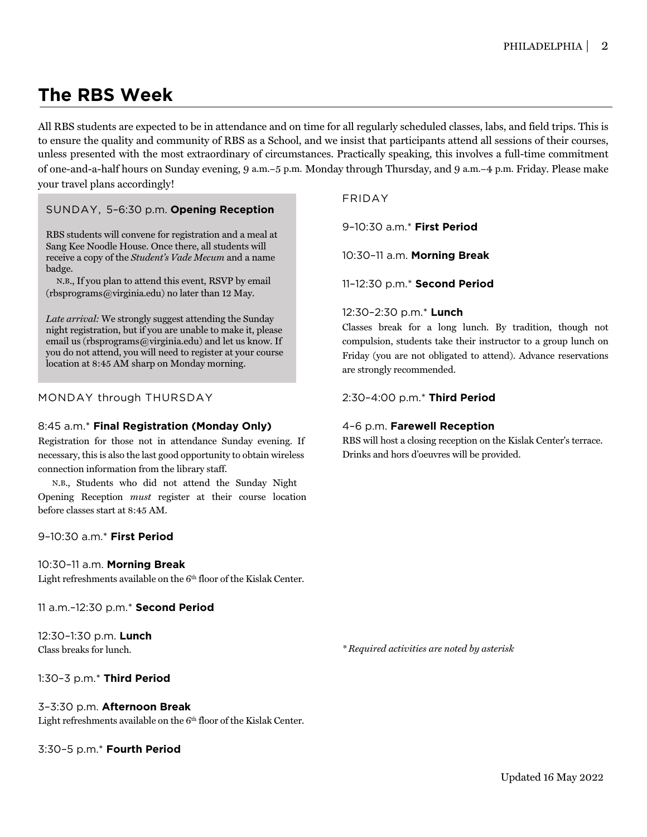# **The RBS Week**

All RBS students are expected to be in attendance and on time for all regularly scheduled classes, labs, and field trips. This is to ensure the quality and community of RBS as a School, and we insist that participants attend all sessions of their courses, unless presented with the most extraordinary of circumstances. Practically speaking, this involves a full-time commitment of one-and-a-half hours on Sunday evening, 9 a.m.–5 p.m. Monday through Thursday, and 9 a.m.–4 p.m. Friday. Please make your travel plans accordingly!

### SUNDAY, 5–6:30 p.m. **Opening Reception**

RBS students will convene for registration and a meal at [Sang Kee Noodle House.](http://sangkeenoodlehouse.com/) Once there, all students will receive a copy of the *Student's Vade Mecum* and a name badge.

N.B., If you plan to attend this event, RSVP by email  $(rbsprograms@virginia.edu)$  no later than 12 May.

*Late arrival:* We strongly suggest attending the Sunday night registration, but if you are unable to make it, please email us (rbsprograms@virginia.edu) and let us know. If you do not attend, you will need to register at your course location at 8:45 AM sharp on Monday morning.

### MONDAY through THURSDAY

#### 8:45 a.m.\* **Final Registration (Monday Only)**

Registration for those not in attendance Sunday evening. If necessary, this is also the last good opportunity to obtain wireless connection information from the library staff.

N.B., Students who did not attend the Sunday Night Opening Reception *must* register at their course location before classes start at 8:45 AM.

#### 9–10:30 a.m.\* **First Period**

#### 10:30–11 a.m. **Morning Break**

Light refreshments available on the 6<sup>th</sup> floor of the Kislak Center.

11 a.m.–12:30 p.m.\* **Second Period**

12:30–1:30 p.m. **Lunch** Class breaks for lunch.

1:30–3 p.m.\* **Third Period**

#### 3–3:30 p.m. **Afternoon Break**

Light refreshments available on the 6<sup>th</sup> floor of the Kislak Center.

3:30–5 p.m.\* **Fourth Period** 

### FRIDAY

9–10:30 a.m.\* **First Period**

10:30–11 a.m. **Morning Break**

11–12:30 p.m.\* **Second Period**

#### 12:30–2:30 p.m.\* **Lunch**

Classes break for a long lunch. By tradition, though not compulsion, students take their instructor to a group lunch on Friday (you are not obligated to attend). Advance reservations are strongly recommended.

2:30–4:00 p.m.\* **Third Period**

### 4–6 p.m. **Farewell Reception**

RBS will host a closing reception on the Kislak Center's terrace. Drinks and hors d'oeuvres will be provided.

*\* Required activities are noted by asterisk*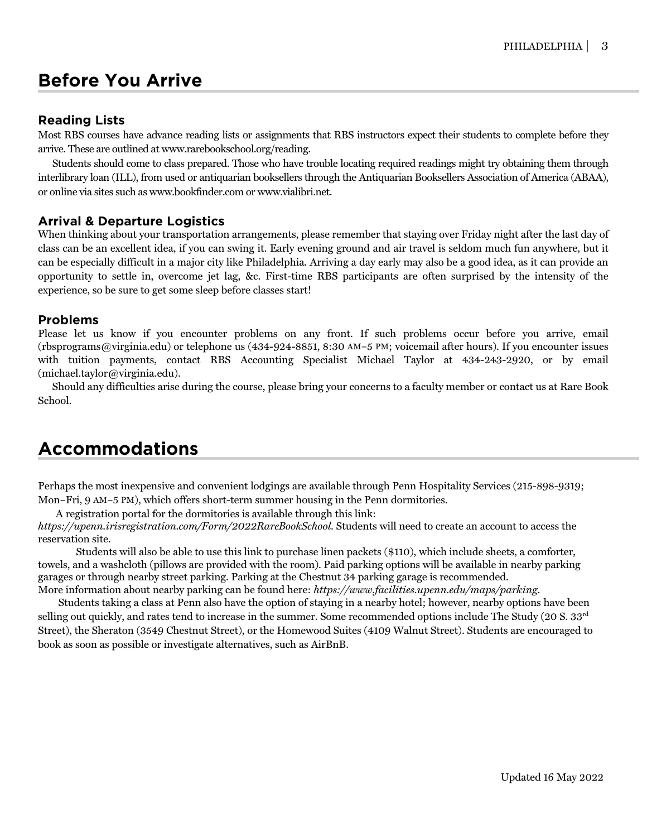## **Before You Arrive**

## **Reading Lists**

Most RBS courses have advance reading lists or assignments that RBS instructors expect their students to complete before they arrive. These are outlined at www.rarebookschool.org/reading.

Students should come to class prepared. Those who have trouble locating required readings might try obtaining them through interlibrary loan (ILL), from used or antiquarian booksellers through the Antiquarian Booksellers Association of America (ABAA), or online via sites such as www.bookfinder.com or www.vialibri.net.

## **Arrival & Departure Logistics**

When thinking about your transportation arrangements, please remember that staying over Friday night after the last day of class can be an excellent idea, if you can swing it. Early evening ground and air travel is seldom much fun anywhere, but it can be especially difficult in a major city like Philadelphia. Arriving a day early may also be a good idea, as it can provide an opportunity to settle in, overcome jet lag, &c. First-time RBS participants are often surprised by the intensity of the experience, so be sure to get some sleep before classes start!

### **Problems**

Please let us know if you encounter problems on any front. If such problems occur before you arrive, email (rbsprograms@virginia.edu) or telephone us (434-924-8851, 8:30 AM–5 PM; voicemail after hours). If you encounter issues with tuition payments, contact RBS Accounting Specialist Michael Taylor at 434-243-2920, or by email (michael.taylor@virginia.edu).

Should any difficulties arise during the course, please bring your concerns to a faculty member or contact us at Rare Book School.

## **Accommodations**

Perhaps the most inexpensive and convenient lodgings are available through Penn Hospitality Services (215-898-9319; Mon–Fri, 9 AM–5 PM), which offers short-term summer housing in the Penn dormitories.

A registration portal for the dormitories is available through this link:

*https://upenn.irisregistration.com/Form/2022RareBookSchool.* Students will need to create an account to access the reservation site.

Students will also be able to use this link to purchase linen packets (\$110), which include sheets, a comforter, towels, and a washcloth (pillows are provided with the room). Paid parking options will be available in nearby parking garages or through nearby street parking. Parking at the Chestnut 34 parking garage is recommended. More information about nearby parking can be found here: *https://www.facilities.upenn.edu/maps/parking*.

 Students taking a class at Penn also have the option of staying in a nearby hotel; however, nearby options have been selling out quickly, and rates tend to increase in the summer. Some recommended options include The Study (20 S. 33<sup>rd</sup>) Street), the Sheraton (3549 Chestnut Street), or the Homewood Suites (4109 Walnut Street). Students are encouraged to book as soon as possible or investigate alternatives, such as AirBnB.